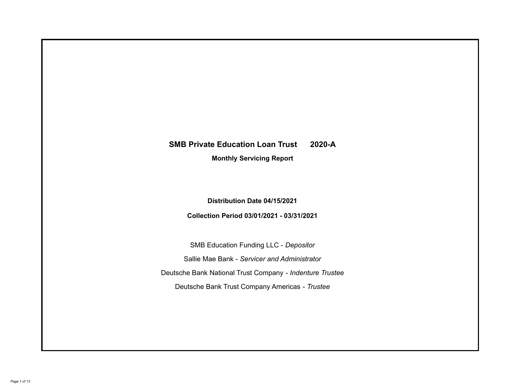# **SMB Private Education Loan Trust 2020-A**

**Monthly Servicing Report**

**Distribution Date 04/15/2021**

**Collection Period 03/01/2021 - 03/31/2021**

SMB Education Funding LLC - *Depositor* Sallie Mae Bank - *Servicer and Administrator* Deutsche Bank National Trust Company - *Indenture Trustee* Deutsche Bank Trust Company Americas - *Trustee*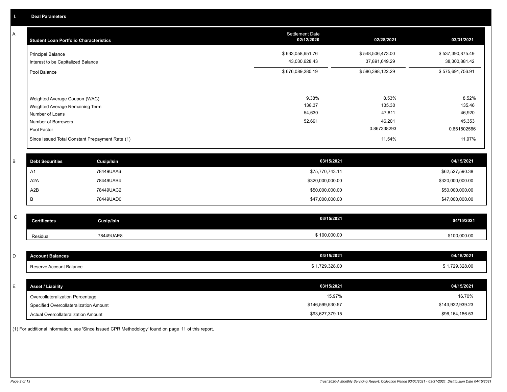A

| <b>Student Loan Portfolio Characteristics</b>                                                              | <b>Settlement Date</b><br>02/12/2020 | 02/28/2021                          | 03/31/2021                          |
|------------------------------------------------------------------------------------------------------------|--------------------------------------|-------------------------------------|-------------------------------------|
| <b>Principal Balance</b><br>Interest to be Capitalized Balance                                             | \$633,058,651.76<br>43,030,628.43    | \$548,506,473.00<br>37,891,649.29   | \$537,390,875.49<br>38,300,881.42   |
| Pool Balance                                                                                               | \$676,089,280.19                     | \$586,398,122.29                    | \$575,691,756.91                    |
| Weighted Average Coupon (WAC)<br>Weighted Average Remaining Term<br>Number of Loans<br>Number of Borrowers | 9.38%<br>138.37<br>54,630<br>52,691  | 8.53%<br>135.30<br>47,811<br>46,201 | 8.52%<br>135.46<br>46,920<br>45,353 |
| Pool Factor                                                                                                |                                      | 0.867338293                         | 0.851502566                         |
| Since Issued Total Constant Prepayment Rate (1)                                                            |                                      | 11.54%                              | 11.97%                              |

| <b>Debt Securities</b> | <b>Cusip/Isin</b> | 03/15/2021       | 04/15/2021       |
|------------------------|-------------------|------------------|------------------|
| A <sup>T</sup>         | 78449UAA6         | \$75,770,743.14  | \$62,527,590.38  |
| A2A                    | 78449UAB4         | \$320,000,000.00 | \$320,000,000.00 |
| A2B                    | 78449UAC2         | \$50,000,000.00  | \$50,000,000.00  |
|                        | 78449UAD0         | \$47,000,000.00  | \$47,000,000.00  |

| $\sim$<br>◡ | <b>Certificates</b> | Cusip/Isin | 03/15/2021 | 04/15/2021   |
|-------------|---------------------|------------|------------|--------------|
|             | Residual            | 78449UAE8  | 100,000.00 | \$100,000.00 |

| D | <b>Account Balances</b>  | 03/15/2021     | 04/15/2021     |
|---|--------------------------|----------------|----------------|
|   | Reserve Account Balance  | \$1,729,328.00 | \$1,729,328.00 |
|   |                          |                |                |
| E | <b>Asset / Liability</b> | 03/15/2021     | 04/15/2021     |

| Asset / Liability                      | <b>US/15/2021</b> | 04/15/2021       |
|----------------------------------------|-------------------|------------------|
| Overcollateralization Percentage       | 15.97%            | 16.70%           |
| Specified Overcollateralization Amount | \$146,599,530.57  | \$143,922,939.23 |
| Actual Overcollateralization Amount    | \$93,627,379.15   | \$96,164,166.53  |

(1) For additional information, see 'Since Issued CPR Methodology' found on page 11 of this report.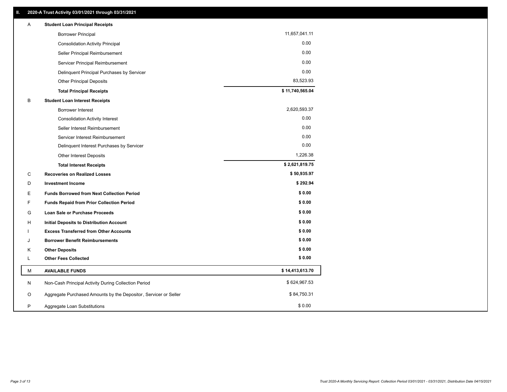| Α | <b>Student Loan Principal Receipts</b>                           |                 |
|---|------------------------------------------------------------------|-----------------|
|   | <b>Borrower Principal</b>                                        | 11,657,041.11   |
|   | <b>Consolidation Activity Principal</b>                          | 0.00            |
|   | Seller Principal Reimbursement                                   | 0.00            |
|   | Servicer Principal Reimbursement                                 | 0.00            |
|   | Delinquent Principal Purchases by Servicer                       | 0.00            |
|   | <b>Other Principal Deposits</b>                                  | 83,523.93       |
|   | <b>Total Principal Receipts</b>                                  | \$11,740,565.04 |
| В | <b>Student Loan Interest Receipts</b>                            |                 |
|   | <b>Borrower Interest</b>                                         | 2,620,593.37    |
|   | <b>Consolidation Activity Interest</b>                           | 0.00            |
|   | Seller Interest Reimbursement                                    | 0.00            |
|   | Servicer Interest Reimbursement                                  | 0.00            |
|   | Delinquent Interest Purchases by Servicer                        | 0.00            |
|   | Other Interest Deposits                                          | 1,226.38        |
|   | <b>Total Interest Receipts</b>                                   | \$2,621,819.75  |
| C | <b>Recoveries on Realized Losses</b>                             | \$50,935.97     |
| D | <b>Investment Income</b>                                         | \$292.94        |
| Е | <b>Funds Borrowed from Next Collection Period</b>                | \$0.00          |
| F | <b>Funds Repaid from Prior Collection Period</b>                 | \$0.00          |
| G | Loan Sale or Purchase Proceeds                                   | \$0.00          |
| н | <b>Initial Deposits to Distribution Account</b>                  | \$0.00          |
|   | <b>Excess Transferred from Other Accounts</b>                    | \$0.00          |
| J | <b>Borrower Benefit Reimbursements</b>                           | \$0.00          |
| Κ | <b>Other Deposits</b>                                            | \$0.00          |
| L | <b>Other Fees Collected</b>                                      | \$0.00          |
| М | <b>AVAILABLE FUNDS</b>                                           | \$14,413,613.70 |
| N | Non-Cash Principal Activity During Collection Period             | \$624,967.53    |
| O | Aggregate Purchased Amounts by the Depositor, Servicer or Seller | \$84,750.31     |
| P | Aggregate Loan Substitutions                                     | \$0.00          |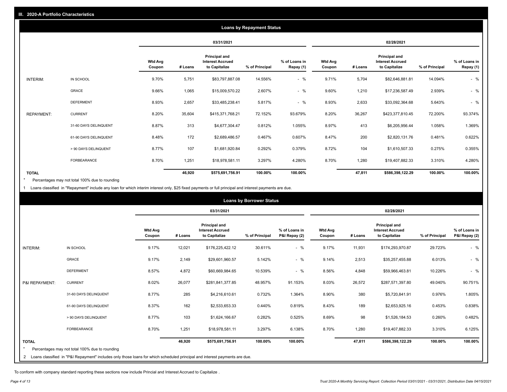|                   |                       |                          |         |                                                           | <b>Loans by Repayment Status</b> |                            |                          |         |                                                           |                |                            |
|-------------------|-----------------------|--------------------------|---------|-----------------------------------------------------------|----------------------------------|----------------------------|--------------------------|---------|-----------------------------------------------------------|----------------|----------------------------|
|                   |                       |                          |         | 03/31/2021                                                |                                  |                            |                          |         | 02/28/2021                                                |                |                            |
|                   |                       | <b>Wtd Avg</b><br>Coupon | # Loans | Principal and<br><b>Interest Accrued</b><br>to Capitalize | % of Principal                   | % of Loans in<br>Repay (1) | <b>Wtd Avg</b><br>Coupon | # Loans | Principal and<br><b>Interest Accrued</b><br>to Capitalize | % of Principal | % of Loans in<br>Repay (1) |
| INTERIM:          | IN SCHOOL             | 9.70%                    | 5,751   | \$83,797,887.08                                           | 14.556%                          | $-$ %                      | 9.71%                    | 5,704   | \$82,646,881.81                                           | 14.094%        | $-$ %                      |
|                   | GRACE                 | 9.66%                    | 1,065   | \$15,009,570.22                                           | 2.607%                           | $-$ %                      | 9.60%                    | 1,210   | \$17,236,587.49                                           | 2.939%         | $-$ %                      |
|                   | <b>DEFERMENT</b>      | 8.93%                    | 2,657   | \$33,485,238.41                                           | 5.817%                           | $-$ %                      | 8.93%                    | 2,633   | \$33,092,364.68                                           | 5.643%         | $-$ %                      |
| <b>REPAYMENT:</b> | <b>CURRENT</b>        | 8.20%                    | 35,604  | \$415,371,768.21                                          | 72.152%                          | 93.679%                    | 8.20%                    | 36,267  | \$423,377,810.45                                          | 72.200%        | 93.374%                    |
|                   | 31-60 DAYS DELINQUENT | 8.87%                    | 313     | \$4,677,304.47                                            | 0.812%                           | 1.055%                     | 8.97%                    | 413     | \$6,205,956.44                                            | 1.058%         | 1.369%                     |
|                   | 61-90 DAYS DELINQUENT | 8.48%                    | 172     | \$2,689,486.57                                            | 0.467%                           | 0.607%                     | 8.47%                    | 200     | \$2,820,131.76                                            | 0.481%         | 0.622%                     |
|                   | > 90 DAYS DELINQUENT  | 8.77%                    | 107     | \$1,681,920.84                                            | 0.292%                           | 0.379%                     | 8.72%                    | 104     | \$1,610,507.33                                            | 0.275%         | 0.355%                     |
|                   | <b>FORBEARANCE</b>    | 8.70%                    | 1,251   | \$18,978,581.11                                           | 3.297%                           | 4.280%                     | 8.70%                    | 1,280   | \$19,407,882.33                                           | 3.310%         | 4.280%                     |
| <b>TOTAL</b>      |                       |                          | 46,920  | \$575,691,756.91                                          | 100.00%                          | 100.00%                    |                          | 47,811  | \$586,398,122.29                                          | 100.00%        | 100.00%                    |

Percentages may not total 100% due to rounding  $\pmb{\ast}$ 

1 Loans classified in "Repayment" include any loan for which interim interest only, \$25 fixed payments or full principal and interest payments are due.

|                |                                                                                                                            |                          |         |                                                                  | <b>Loans by Borrower Status</b> |                                |                          |         |                                                           |                |                                |
|----------------|----------------------------------------------------------------------------------------------------------------------------|--------------------------|---------|------------------------------------------------------------------|---------------------------------|--------------------------------|--------------------------|---------|-----------------------------------------------------------|----------------|--------------------------------|
|                |                                                                                                                            |                          |         | 03/31/2021                                                       |                                 |                                |                          |         | 02/28/2021                                                |                |                                |
|                |                                                                                                                            | <b>Wtd Avg</b><br>Coupon | # Loans | <b>Principal and</b><br><b>Interest Accrued</b><br>to Capitalize | % of Principal                  | % of Loans in<br>P&I Repay (2) | <b>Wtd Avg</b><br>Coupon | # Loans | Principal and<br><b>Interest Accrued</b><br>to Capitalize | % of Principal | % of Loans in<br>P&I Repay (2) |
| INTERIM:       | IN SCHOOL                                                                                                                  | 9.17%                    | 12,021  | \$176,225,422.12                                                 | 30.611%                         | $-$ %                          | 9.17%                    | 11,931  | \$174,293,970.87                                          | 29.723%        | $-$ %                          |
|                | GRACE                                                                                                                      | 9.17%                    | 2,149   | \$29,601,960.57                                                  | 5.142%                          | $-$ %                          | 9.14%                    | 2,513   | \$35,257,455.88                                           | 6.013%         | $-$ %                          |
|                | <b>DEFERMENT</b>                                                                                                           | 8.57%                    | 4,872   | \$60,669,984.65                                                  | 10.539%                         | $-$ %                          | 8.56%                    | 4,848   | \$59,966,463.81                                           | 10.226%        | $-$ %                          |
| P&I REPAYMENT: | <b>CURRENT</b>                                                                                                             | 8.02%                    | 26,077  | \$281,841,377.85                                                 | 48.957%                         | 91.153%                        | 8.03%                    | 26,572  | \$287,571,397.80                                          | 49.040%        | 90.751%                        |
|                | 31-60 DAYS DELINQUENT                                                                                                      | 8.77%                    | 285     | \$4,216,610.61                                                   | 0.732%                          | 1.364%                         | 8.90%                    | 380     | \$5,720,841.91                                            | 0.976%         | 1.805%                         |
|                | 61-90 DAYS DELINQUENT                                                                                                      | 8.37%                    | 162     | \$2,533,653.33                                                   | 0.440%                          | 0.819%                         | 8.43%                    | 189     | \$2,653,925.16                                            | 0.453%         | 0.838%                         |
|                | > 90 DAYS DELINQUENT                                                                                                       | 8.77%                    | 103     | \$1,624,166.67                                                   | 0.282%                          | 0.525%                         | 8.69%                    | 98      | \$1,526,184.53                                            | 0.260%         | 0.482%                         |
|                | <b>FORBEARANCE</b>                                                                                                         | 8.70%                    | 1,251   | \$18,978,581.11                                                  | 3.297%                          | 6.138%                         | 8.70%                    | 1,280   | \$19,407,882.33                                           | 3.310%         | 6.125%                         |
| <b>TOTAL</b>   |                                                                                                                            |                          | 46,920  | \$575,691,756.91                                                 | 100.00%                         | 100.00%                        |                          | 47,811  | \$586,398,122.29                                          | 100.00%        | 100.00%                        |
|                | Percentages may not total 100% due to rounding                                                                             |                          |         |                                                                  |                                 |                                |                          |         |                                                           |                |                                |
| 2              | Loans classified in "P&I Repayment" includes only those loans for which scheduled principal and interest payments are due. |                          |         |                                                                  |                                 |                                |                          |         |                                                           |                |                                |

To conform with company standard reporting these sections now include Princial and Interest Accrued to Capitalize .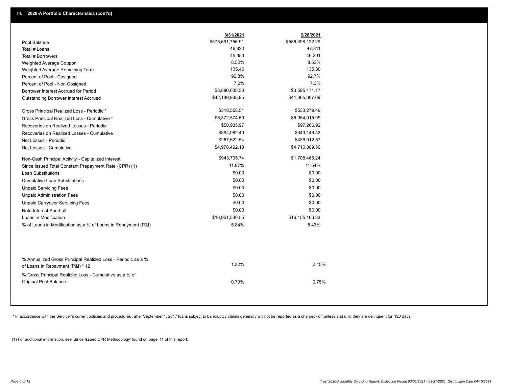|                                                                                                  | 3/31/2021        | 2/28/2021        |
|--------------------------------------------------------------------------------------------------|------------------|------------------|
| Pool Balance                                                                                     | \$575,691,756.91 | \$586,398,122.29 |
| Total # Loans                                                                                    | 46,920           | 47,811           |
| Total # Borrowers                                                                                | 45,353           | 46,201           |
| Weighted Average Coupon                                                                          | 8.52%            | 8.53%            |
| Weighted Average Remaining Term                                                                  | 135.46           | 135.30           |
| Percent of Pool - Cosigned                                                                       | 92.8%            | 92.7%            |
| Percent of Pool - Non Cosigned                                                                   | 7.2%             | 7.3%             |
| Borrower Interest Accrued for Period                                                             | \$3,880,638.33   | \$3,595,171.17   |
| Outstanding Borrower Interest Accrued                                                            | \$42,139,938.95  | \$41,865,607.09  |
| Gross Principal Realized Loss - Periodic *                                                       | \$318,558.51     | \$533,279.49     |
| Gross Principal Realized Loss - Cumulative *                                                     | \$5,372,574.50   | \$5,054,015.99   |
| Recoveries on Realized Losses - Periodic                                                         | \$50,935.97      | \$97,266.92      |
| Recoveries on Realized Losses - Cumulative                                                       | \$394,082.40     | \$343,146.43     |
| Net Losses - Periodic                                                                            | \$267,622.54     | \$436,012.57     |
| Net Losses - Cumulative                                                                          | \$4,978,492.10   | \$4,710,869.56   |
| Non-Cash Principal Activity - Capitalized Interest                                               | \$943,705.74     | \$1,708,465.24   |
| Since Issued Total Constant Prepayment Rate (CPR) (1)                                            | 11.97%           | 11.54%           |
| <b>Loan Substitutions</b>                                                                        | \$0.00           | \$0.00           |
| <b>Cumulative Loan Substitutions</b>                                                             | \$0.00           | \$0.00           |
| <b>Unpaid Servicing Fees</b>                                                                     | \$0.00           | \$0.00           |
| <b>Unpaid Administration Fees</b>                                                                | \$0.00           | \$0.00           |
| <b>Unpaid Carryover Servicing Fees</b>                                                           | \$0.00           | \$0.00           |
| Note Interest Shortfall                                                                          | \$0.00           | \$0.00           |
| Loans in Modification                                                                            | \$16,951,530.55  | \$16,155,166.33  |
| % of Loans in Modification as a % of Loans in Repayment (P&I)                                    | 5.84%            | 5.43%            |
|                                                                                                  |                  |                  |
| % Annualized Gross Principal Realized Loss - Periodic as a %<br>of Loans in Repayment (P&I) * 12 | 1.32%            | 2.15%            |
| % Gross Principal Realized Loss - Cumulative as a % of<br>Original Pool Balance                  | 0.79%            | 0.75%            |

\* In accordance with the Servicer's current policies and procedures, after September 1, 2017 loans subject to bankruptcy claims generally will not be reported as a charged- off unless and until they are delinquent for 120

(1) For additional information, see 'Since Issued CPR Methodology' found on page 11 of this report.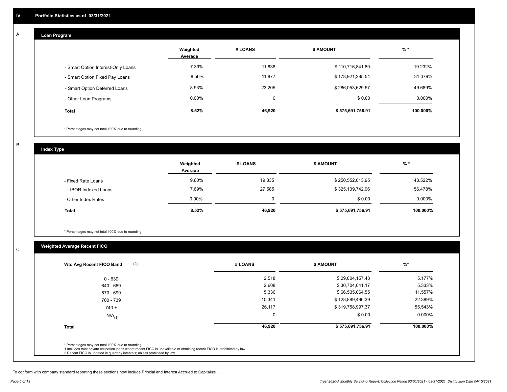## **Loan Program**

A

|                                    | Weighted<br>Average | # LOANS | <b>S AMOUNT</b>  | $%$ *    |
|------------------------------------|---------------------|---------|------------------|----------|
| - Smart Option Interest-Only Loans | 7.39%               | 11,838  | \$110,716,841.80 | 19.232%  |
| - Smart Option Fixed Pay Loans     | 8.56%               | 11,877  | \$178,921,285.54 | 31.079%  |
| - Smart Option Deferred Loans      | 8.93%               | 23,205  | \$286,053,629.57 | 49.689%  |
| - Other Loan Programs              | $0.00\%$            | 0       | \$0.00           | 0.000%   |
| <b>Total</b>                       | 8.52%               | 46,920  | \$575,691,756.91 | 100.000% |

\* Percentages may not total 100% due to rounding

B

C

**Index Type**

|                       | Weighted<br>Average | # LOANS | <b>\$ AMOUNT</b> | $%$ *    |
|-----------------------|---------------------|---------|------------------|----------|
| - Fixed Rate Loans    | 9.60%               | 19,335  | \$250,552,013.95 | 43.522%  |
| - LIBOR Indexed Loans | 7.69%               | 27,585  | \$325,139,742.96 | 56.478%  |
| - Other Index Rates   | 0.00%               | 0       | \$0.00           | 0.000%   |
| <b>Total</b>          | 8.52%               | 46,920  | \$575,691,756.91 | 100.000% |

\* Percentages may not total 100% due to rounding

## **Weighted Average Recent FICO**

| $0 - 639$            | 2,518  | \$29,804,157.43  | 5.177%   |
|----------------------|--------|------------------|----------|
| 640 - 669            | 2,608  | \$30,704,041.17  | 5.333%   |
| 670 - 699            | 5,336  | \$66,535,064.55  | 11.557%  |
| 700 - 739            | 10,341 | \$128,889,496.39 | 22.389%  |
| $740 +$              | 26,117 | \$319,758,997.37 | 55.543%  |
| $N/A$ <sub>(1)</sub> | 0      | \$0.00           | 0.000%   |
| <b>Total</b>         | 46,920 | \$575,691,756.91 | 100.000% |

To conform with company standard reporting these sections now include Princial and Interest Accrued to Capitalize .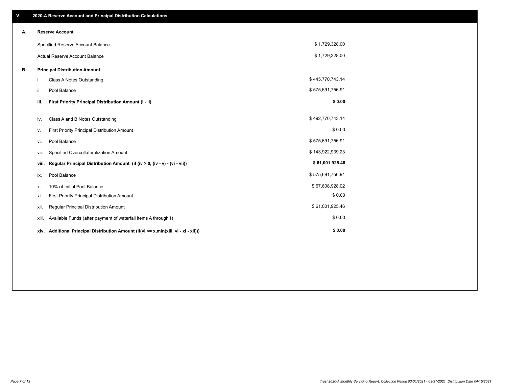| V. |       | 2020-A Reserve Account and Principal Distribution Calculations                       |                  |  |
|----|-------|--------------------------------------------------------------------------------------|------------------|--|
| А. |       | <b>Reserve Account</b>                                                               |                  |  |
|    |       | Specified Reserve Account Balance                                                    | \$1,729,328.00   |  |
|    |       | Actual Reserve Account Balance                                                       | \$1,729,328.00   |  |
| В. |       | <b>Principal Distribution Amount</b>                                                 |                  |  |
|    | i.    | <b>Class A Notes Outstanding</b>                                                     | \$445,770,743.14 |  |
|    | ii.   | Pool Balance                                                                         | \$575,691,756.91 |  |
|    | iii.  | First Priority Principal Distribution Amount (i - ii)                                | \$0.00           |  |
|    | iv.   | Class A and B Notes Outstanding                                                      | \$492,770,743.14 |  |
|    | v.    | First Priority Principal Distribution Amount                                         | \$0.00           |  |
|    | vi.   | Pool Balance                                                                         | \$575,691,756.91 |  |
|    | vii.  | Specified Overcollateralization Amount                                               | \$143,922,939.23 |  |
|    | viii. | Regular Principal Distribution Amount (if (iv > 0, (iv - v) - (vi - vii))            | \$61,001,925.46  |  |
|    | ix.   | Pool Balance                                                                         | \$575,691,756.91 |  |
|    | х.    | 10% of Initial Pool Balance                                                          | \$67,608,928.02  |  |
|    | xi.   | First Priority Principal Distribution Amount                                         | \$0.00           |  |
|    | xii.  | Regular Principal Distribution Amount                                                | \$61,001,925.46  |  |
|    | xiii. | Available Funds (after payment of waterfall items A through I)                       | \$0.00           |  |
|    |       | xiv. Additional Principal Distribution Amount (if(vi <= x,min(xiii, vi - xi - xii))) | \$0.00           |  |
|    |       |                                                                                      |                  |  |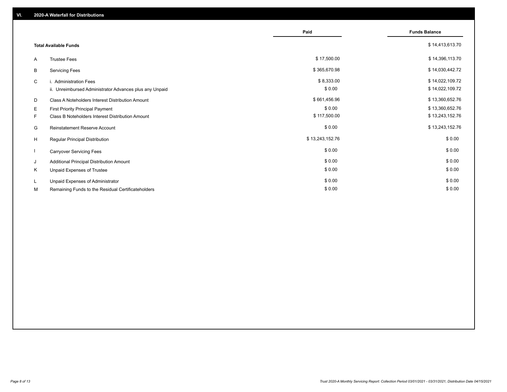|    |                                                         | Paid            | <b>Funds Balance</b> |
|----|---------------------------------------------------------|-----------------|----------------------|
|    | <b>Total Available Funds</b>                            |                 | \$14,413,613.70      |
| A  | <b>Trustee Fees</b>                                     | \$17,500.00     | \$14,396,113.70      |
| В  | <b>Servicing Fees</b>                                   | \$365,670.98    | \$14,030,442.72      |
| C  | i. Administration Fees                                  | \$8,333.00      | \$14,022,109.72      |
|    | ii. Unreimbursed Administrator Advances plus any Unpaid | \$0.00          | \$14,022,109.72      |
| D  | Class A Noteholders Interest Distribution Amount        | \$661,456.96    | \$13,360,652.76      |
| Е  | First Priority Principal Payment                        | \$0.00          | \$13,360,652.76      |
| F. | Class B Noteholders Interest Distribution Amount        | \$117,500.00    | \$13,243,152.76      |
| G  | <b>Reinstatement Reserve Account</b>                    | \$0.00          | \$13,243,152.76      |
| H  | Regular Principal Distribution                          | \$13,243,152.76 | \$0.00               |
|    | <b>Carryover Servicing Fees</b>                         | \$0.00          | \$0.00               |
| J  | Additional Principal Distribution Amount                | \$0.00          | \$0.00               |
| Κ  | Unpaid Expenses of Trustee                              | \$0.00          | \$0.00               |
| L  | Unpaid Expenses of Administrator                        | \$0.00          | \$0.00               |
| М  | Remaining Funds to the Residual Certificateholders      | \$0.00          | \$0.00               |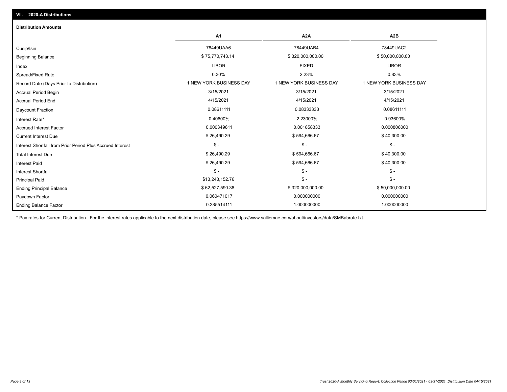| <b>Distribution Amounts</b>                                |                         |                         |                         |
|------------------------------------------------------------|-------------------------|-------------------------|-------------------------|
|                                                            | A1                      | A <sub>2</sub> A        | A <sub>2</sub> B        |
| Cusip/Isin                                                 | 78449UAA6               | 78449UAB4               | 78449UAC2               |
| <b>Beginning Balance</b>                                   | \$75,770,743.14         | \$320,000,000.00        | \$50,000,000.00         |
| Index                                                      | <b>LIBOR</b>            | <b>FIXED</b>            | <b>LIBOR</b>            |
| Spread/Fixed Rate                                          | 0.30%                   | 2.23%                   | 0.83%                   |
| Record Date (Days Prior to Distribution)                   | 1 NEW YORK BUSINESS DAY | 1 NEW YORK BUSINESS DAY | 1 NEW YORK BUSINESS DAY |
| <b>Accrual Period Begin</b>                                | 3/15/2021               | 3/15/2021               | 3/15/2021               |
| <b>Accrual Period End</b>                                  | 4/15/2021               | 4/15/2021               | 4/15/2021               |
| Daycount Fraction                                          | 0.08611111              | 0.08333333              | 0.08611111              |
| Interest Rate*                                             | 0.40600%                | 2.23000%                | 0.93600%                |
| <b>Accrued Interest Factor</b>                             | 0.000349611             | 0.001858333             | 0.000806000             |
| <b>Current Interest Due</b>                                | \$26,490.29             | \$594,666.67            | \$40,300.00             |
| Interest Shortfall from Prior Period Plus Accrued Interest | $$ -$                   | $\mathsf{\$}$ -         | $\mathsf{\$}$ -         |
| <b>Total Interest Due</b>                                  | \$26,490.29             | \$594,666.67            | \$40,300.00             |
| <b>Interest Paid</b>                                       | \$26,490.29             | \$594,666.67            | \$40,300.00             |
| <b>Interest Shortfall</b>                                  | $$ -$                   | $\mathsf{\$}$ -         | $\mathbb{S}$ -          |
| <b>Principal Paid</b>                                      | \$13,243,152.76         | $$ -$                   | $\mathsf{\$}$ -         |
| <b>Ending Principal Balance</b>                            | \$62,527,590.38         | \$320,000,000.00        | \$50,000,000.00         |
| Paydown Factor                                             | 0.060471017             | 0.000000000             | 0.000000000             |
| <b>Ending Balance Factor</b>                               | 0.285514111             | 1.000000000             | 1.000000000             |

\* Pay rates for Current Distribution. For the interest rates applicable to the next distribution date, please see https://www.salliemae.com/about/investors/data/SMBabrate.txt.

**VII. 2020-A Distributions**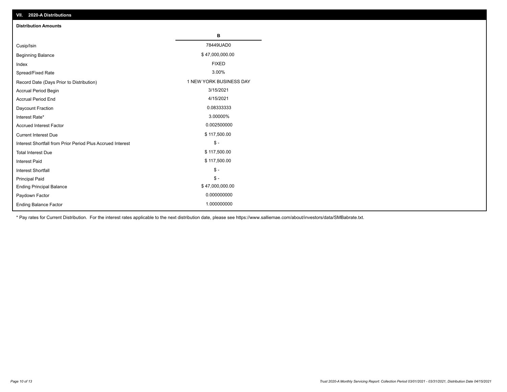| VII. 2020-A Distributions                                  |                         |
|------------------------------------------------------------|-------------------------|
| <b>Distribution Amounts</b>                                |                         |
|                                                            | В                       |
| Cusip/Isin                                                 | 78449UAD0               |
| <b>Beginning Balance</b>                                   | \$47,000,000.00         |
| Index                                                      | <b>FIXED</b>            |
| Spread/Fixed Rate                                          | 3.00%                   |
| Record Date (Days Prior to Distribution)                   | 1 NEW YORK BUSINESS DAY |
| Accrual Period Begin                                       | 3/15/2021               |
| <b>Accrual Period End</b>                                  | 4/15/2021               |
| Daycount Fraction                                          | 0.08333333              |
| Interest Rate*                                             | 3.00000%                |
| <b>Accrued Interest Factor</b>                             | 0.002500000             |
| <b>Current Interest Due</b>                                | \$117,500.00            |
| Interest Shortfall from Prior Period Plus Accrued Interest | $\mathsf{\$}$ -         |
| <b>Total Interest Due</b>                                  | \$117,500.00            |
| <b>Interest Paid</b>                                       | \$117,500.00            |
| Interest Shortfall                                         | $\mathcal{S}$ -         |
| <b>Principal Paid</b>                                      | $\frac{1}{2}$           |
| <b>Ending Principal Balance</b>                            | \$47,000,000.00         |
| Paydown Factor                                             | 0.000000000             |
| <b>Ending Balance Factor</b>                               | 1.000000000             |

\* Pay rates for Current Distribution. For the interest rates applicable to the next distribution date, please see https://www.salliemae.com/about/investors/data/SMBabrate.txt.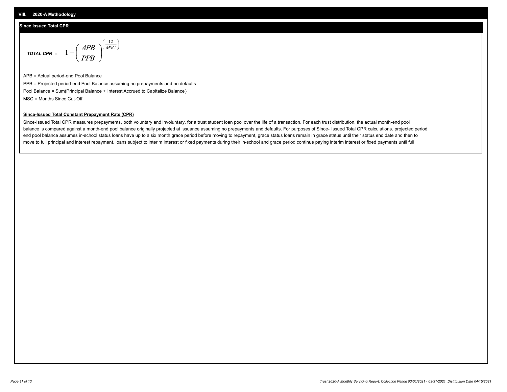### **Since Issued Total CPR**

$$
\text{total CPR} = 1 - \left(\frac{APB}{PPB}\right)^{\left(\frac{12}{MSC}\right)}
$$

APB = Actual period-end Pool Balance PPB = Projected period-end Pool Balance assuming no prepayments and no defaults Pool Balance = Sum(Principal Balance + Interest Accrued to Capitalize Balance) MSC = Months Since Cut-Off

### **Since-Issued Total Constant Prepayment Rate (CPR)**

Since-Issued Total CPR measures prepayments, both voluntary and involuntary, for a trust student loan pool over the life of a transaction. For each trust distribution, the actual month-end pool balance is compared against a month-end pool balance originally projected at issuance assuming no prepayments and defaults. For purposes of Since- Issued Total CPR calculations, projected period end pool balance assumes in-school status loans have up to a six month grace period before moving to repayment, grace status loans remain in grace status until their status end date and then to move to full principal and interest repayment, loans subject to interim interest or fixed payments during their in-school and grace period continue paying interim interest or fixed payments until full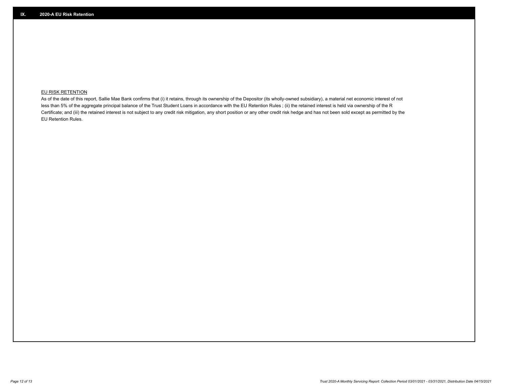## **EU RISK RETENTION**

As of the date of this report, Sallie Mae Bank confirms that (i) it retains, through its ownership of the Depositor (its wholly-owned subsidiary), a material net economic interest of not less than 5% of the aggregate principal balance of the Trust Student Loans in accordance with the EU Retention Rules ; (ii) the retained interest is held via ownership of the R Certificate; and (iii) the retained interest is not subject to any credit risk mitigation, any short position or any other credit risk hedge and has not been sold except as permitted by the EU Retention Rules.